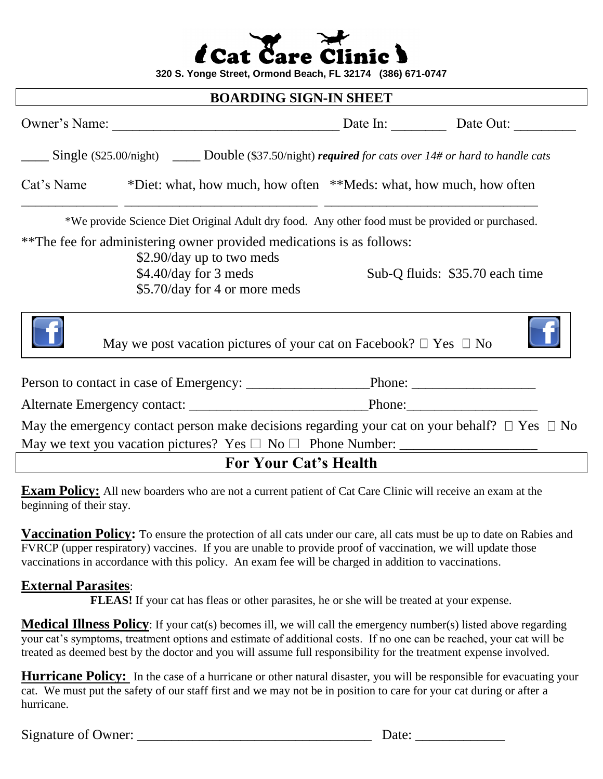|  | <i>i</i> Cat Care Clinic ) |  |
|--|----------------------------|--|
|  |                            |  |

**320 S. Yonge Street, Ormond Beach, FL 32174 (386) 671-0747**

#### **BOARDING SIGN-IN SHEET**

|            | Owner's Name:                                                                                                                                                | Date In: Date Out: |                                 |
|------------|--------------------------------------------------------------------------------------------------------------------------------------------------------------|--------------------|---------------------------------|
|            | Single (\$25.00/night) _______ Double (\$37.50/night) required for cats over $14\#$ or hard to handle cats                                                   |                    |                                 |
| Cat's Name | *Diet: what, how much, how often **Meds: what, how much, how often                                                                                           |                    |                                 |
|            | *We provide Science Diet Original Adult dry food. Any other food must be provided or purchased.                                                              |                    |                                 |
|            | **The fee for administering owner provided medications is as follows:<br>\$2.90/day up to two meds<br>\$4.40/day for 3 meds<br>\$5.70/day for 4 or more meds |                    | Sub-Q fluids: \$35.70 each time |
|            | May we post vacation pictures of your cat on Facebook? $\Box$ Yes $\Box$ No                                                                                  |                    |                                 |
|            |                                                                                                                                                              |                    |                                 |
|            |                                                                                                                                                              |                    |                                 |
|            | May the emergency contact person make decisions regarding your cat on your behalf? $\Box$ Yes $\Box$ No                                                      |                    |                                 |
|            | <b>For Your Cat's Health</b>                                                                                                                                 |                    |                                 |

**Exam Policy:** All new boarders who are not a current patient of Cat Care Clinic will receive an exam at the beginning of their stay.

**Vaccination Policy:** To ensure the protection of all cats under our care, all cats must be up to date on Rabies and FVRCP (upper respiratory) vaccines. If you are unable to provide proof of vaccination, we will update those vaccinations in accordance with this policy. An exam fee will be charged in addition to vaccinations.

### **External Parasites**:

**FLEAS!** If your cat has fleas or other parasites, he or she will be treated at your expense.

**Medical Illness Policy**: If your cat(s) becomes ill, we will call the emergency number(s) listed above regarding your cat's symptoms, treatment options and estimate of additional costs. If no one can be reached, your cat will be treated as deemed best by the doctor and you will assume full responsibility for the treatment expense involved.

**Hurricane Policy:** In the case of a hurricane or other natural disaster, you will be responsible for evacuating your cat. We must put the safety of our staff first and we may not be in position to care for your cat during or after a hurricane.

Signature of Owner:  $\Box$ 

| Date: |  |
|-------|--|
|       |  |